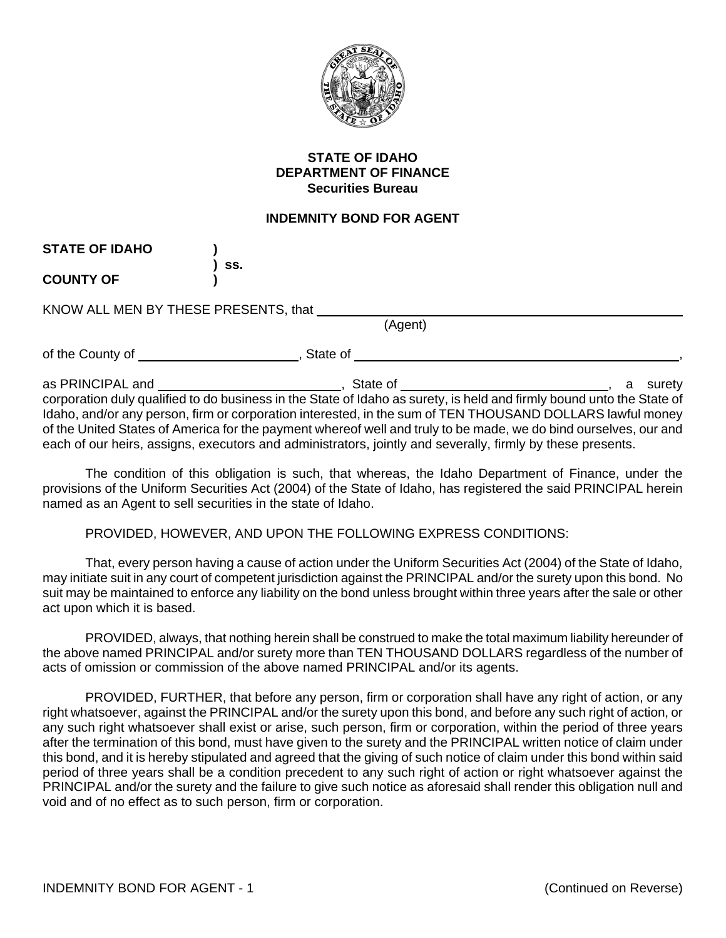

## **STATE OF IDAHO DEPARTMENT OF FINANCE Securities Bureau**

## **INDEMNITY BOND FOR AGENT**

| <b>STATE OF IDAHO</b> |                                                                                                                       |             |
|-----------------------|-----------------------------------------------------------------------------------------------------------------------|-------------|
| <b>COUNTY OF</b>      | SS.                                                                                                                   |             |
|                       | KNOW ALL MEN BY THESE PRESENTS, that<br>(Agent)                                                                       |             |
|                       |                                                                                                                       |             |
|                       | State of                                                                                                              |             |
|                       |                                                                                                                       | surety<br>a |
|                       | corporation duly qualified to do business in the State of Idaho as surety, is held and firmly bound unto the State of |             |
|                       | Idaho, and/or any person, firm or corporation interested, in the sum of TEN THOUSAND DOLLARS lawful money             |             |
|                       | of the United States of America for the payment whereof well and truly to be made, we do bind ourselves, our and      |             |

The condition of this obligation is such, that whereas, the Idaho Department of Finance, under the provisions of the Uniform Securities Act (2004) of the State of Idaho, has registered the said PRINCIPAL herein named as an Agent to sell securities in the state of Idaho.

PROVIDED, HOWEVER, AND UPON THE FOLLOWING EXPRESS CONDITIONS:

each of our heirs, assigns, executors and administrators, jointly and severally, firmly by these presents.

That, every person having a cause of action under the Uniform Securities Act (2004) of the State of Idaho, may initiate suit in any court of competent jurisdiction against the PRINCIPAL and/or the surety upon this bond. No suit may be maintained to enforce any liability on the bond unless brought within three years after the sale or other act upon which it is based.

PROVIDED, always, that nothing herein shall be construed to make the total maximum liability hereunder of the above named PRINCIPAL and/or surety more than TEN THOUSAND DOLLARS regardless of the number of acts of omission or commission of the above named PRINCIPAL and/or its agents.

PROVIDED, FURTHER, that before any person, firm or corporation shall have any right of action, or any right whatsoever, against the PRINCIPAL and/or the surety upon this bond, and before any such right of action, or any such right whatsoever shall exist or arise, such person, firm or corporation, within the period of three years after the termination of this bond, must have given to the surety and the PRINCIPAL written notice of claim under this bond, and it is hereby stipulated and agreed that the giving of such notice of claim under this bond within said period of three years shall be a condition precedent to any such right of action or right whatsoever against the PRINCIPAL and/or the surety and the failure to give such notice as aforesaid shall render this obligation null and void and of no effect as to such person, firm or corporation.